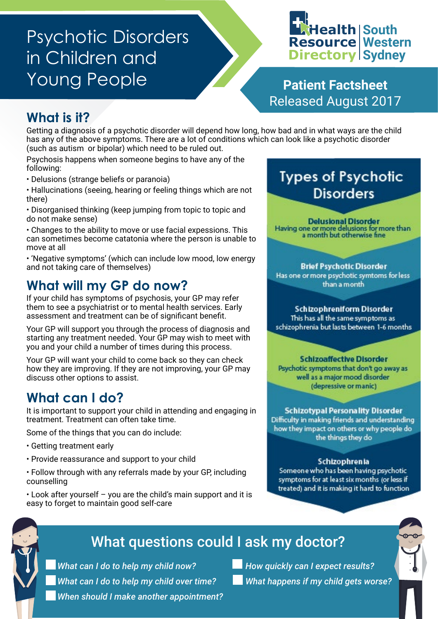# Psychotic Disorders in Children and Young People **Patient Factsheet**

### **Health South Resource Western Directory Sydney**

Released August 2017

#### **What is it?**

Getting a diagnosis of a psychotic disorder will depend how long, how bad and in what ways are the child has any of the above symptoms. There are a lot of conditions which can look like a psychotic disorder (such as autism or bipolar) which need to be ruled out.

Psychosis happens when someone begins to have any of the following:

• Delusions (strange beliefs or paranoia)

• Hallucinations (seeing, hearing or feeling things which are not there)

• Disorganised thinking (keep jumping from topic to topic and do not make sense)

• Changes to the ability to move or use facial expessions. This can sometimes become catatonia where the person is unable to move at all

• 'Negative symptoms' (which can include low mood, low energy and not taking care of themselves)

#### **What will my GP do now?**

If your child has symptoms of psychosis, your GP may refer them to see a psychiatrist or to mental health services. Early assessment and treatment can be of significant benefit.

Your GP will support you through the process of diagnosis and starting any treatment needed. Your GP may wish to meet with you and your child a number of times during this process.

Your GP will want your child to come back so they can check how they are improving. If they are not improving, your GP may discuss other options to assist.

#### **What can I do?**

It is important to support your child in attending and engaging in treatment. Treatment can often take time.

Some of the things that you can do include:

- Getting treatment early
- Provide reassurance and support to your child
- Follow through with any referrals made by your GP, including counselling
- Look after yourself you are the child's main support and it is easy to forget to maintain good self-care

### **Types of Psychotic Disorders**

**Delusional Disorder** Having one or more delusions for more than a month but otherwise fine

**Brief Psychotic Disorder** Has one or more psychotic symtoms for less than a month

**Schizophreniform Disorder** This has all the same symptoms as schizophrenia but lasts between 1-6 months

**Schizoaffective Disorder** Psychotic symptoms that don't go away as well as a major mood disorder (depressive or manic)

**Schizotypal Personality Disorder** Difficulty in making friends and understanding how they impact on others or why people do the things they do

#### Schizophrenia

Someone who has been having psychotic symptoms for at least six months (or less if treated) and it is making it hard to function

### What questions could I ask my doctor?

*What can I do to help my child now? What can I do to help my child over time? When should I make another appointment?*  *How quickly can I expect results? What happens if my child gets worse?*